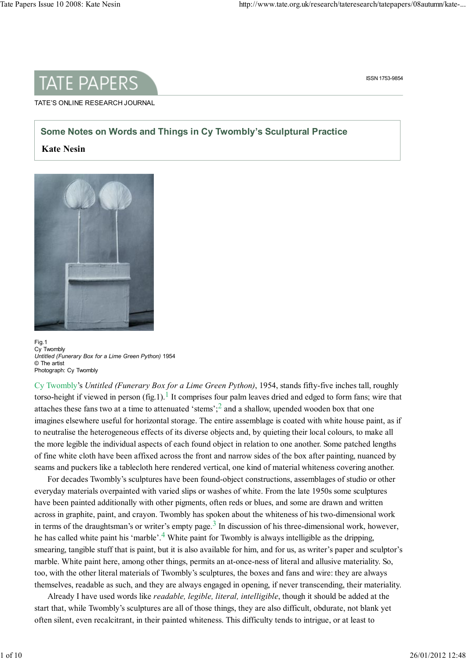

ISSN 1753-9854

#### TATE'S ONLINE RESEARCH JOURNAL

# Some Notes on Words and Things in Cy Twombly's Sculptural Practice

### Kate Nesin



Fig.1 Cy Twombly Untitled (Funerary Box for a Lime Green Python) 1954 © The artist Photograph: Cy Twombly

Cy Twombly's Untitled (Funerary Box for a Lime Green Python), 1954, stands fifty-five inches tall, roughly torso-height if viewed in person (fig.1).<sup>1</sup> It comprises four palm leaves dried and edged to form fans; wire that attaches these fans two at a time to attenuated 'stems';  $2$  and a shallow, upended wooden box that one imagines elsewhere useful for horizontal storage. The entire assemblage is coated with white house paint, as if to neutralise the heterogeneous effects of its diverse objects and, by quieting their local colours, to make all the more legible the individual aspects of each found object in relation to one another. Some patched lengths of fine white cloth have been affixed across the front and narrow sides of the box after painting, nuanced by seams and puckers like a tablecloth here rendered vertical, one kind of material whiteness covering another.

For decades Twombly's sculptures have been found-object constructions, assemblages of studio or other everyday materials overpainted with varied slips or washes of white. From the late 1950s some sculptures have been painted additionally with other pigments, often reds or blues, and some are drawn and written across in graphite, paint, and crayon. Twombly has spoken about the whiteness of his two-dimensional work in terms of the draughtsman's or writer's empty page.<sup>3</sup> In discussion of his three-dimensional work, however, he has called white paint his 'marble'.<sup>4</sup> White paint for Twombly is always intelligible as the dripping, smearing, tangible stuff that is paint, but it is also available for him, and for us, as writer's paper and sculptor's marble. White paint here, among other things, permits an at-once-ness of literal and allusive materiality. So, too, with the other literal materials of Twombly's sculptures, the boxes and fans and wire: they are always themselves, readable as such, and they are always engaged in opening, if never transcending, their materiality.

Already I have used words like *readable, legible, literal, intelligible*, though it should be added at the start that, while Twombly's sculptures are all of those things, they are also difficult, obdurate, not blank yet often silent, even recalcitrant, in their painted whiteness. This difficulty tends to intrigue, or at least to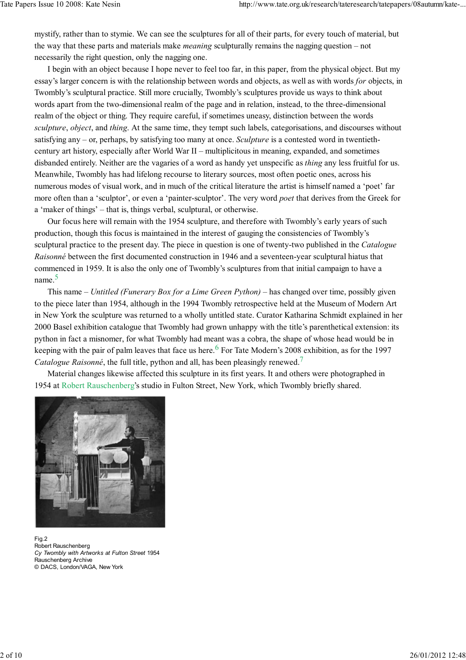mystify, rather than to stymie. We can see the sculptures for all of their parts, for every touch of material, but the way that these parts and materials make meaning sculpturally remains the nagging question – not necessarily the right question, only the nagging one.

I begin with an object because I hope never to feel too far, in this paper, from the physical object. But my essay's larger concern is with the relationship between words and objects, as well as with words for objects, in Twombly's sculptural practice. Still more crucially, Twombly's sculptures provide us ways to think about words apart from the two-dimensional realm of the page and in relation, instead, to the three-dimensional realm of the object or thing. They require careful, if sometimes uneasy, distinction between the words sculpture, object, and thing. At the same time, they tempt such labels, categorisations, and discourses without satisfying any – or, perhaps, by satisfying too many at once. Sculpture is a contested word in twentiethcentury art history, especially after World War II – multiplicitous in meaning, expanded, and sometimes disbanded entirely. Neither are the vagaries of a word as handy yet unspecific as *thing* any less fruitful for us. Meanwhile, Twombly has had lifelong recourse to literary sources, most often poetic ones, across his numerous modes of visual work, and in much of the critical literature the artist is himself named a 'poet' far more often than a 'sculptor', or even a 'painter-sculptor'. The very word poet that derives from the Greek for a 'maker of things' – that is, things verbal, sculptural, or otherwise.

Our focus here will remain with the 1954 sculpture, and therefore with Twombly's early years of such production, though this focus is maintained in the interest of gauging the consistencies of Twombly's sculptural practice to the present day. The piece in question is one of twenty-two published in the *Catalogue* Raisonné between the first documented construction in 1946 and a seventeen-year sculptural hiatus that commenced in 1959. It is also the only one of Twombly's sculptures from that initial campaign to have a name. 5

This name – Untitled (Funerary Box for a Lime Green Python) – has changed over time, possibly given to the piece later than 1954, although in the 1994 Twombly retrospective held at the Museum of Modern Art in New York the sculpture was returned to a wholly untitled state. Curator Katharina Schmidt explained in her 2000 Basel exhibition catalogue that Twombly had grown unhappy with the title's parenthetical extension: its python in fact a misnomer, for what Twombly had meant was a cobra, the shape of whose head would be in keeping with the pair of palm leaves that face us here.  $6$  For Tate Modern's 2008 exhibition, as for the 1997 Catalogue Raisonné, the full title, python and all, has been pleasingly renewed.<sup>7</sup>

Material changes likewise affected this sculpture in its first years. It and others were photographed in 1954 at Robert Rauschenberg's studio in Fulton Street, New York, which Twombly briefly shared.



Fig.2 Robert Rauschenberg Cy Twombly with Artworks at Fulton Street 1954 Rauschenberg Archive © DACS, London/VAGA, New York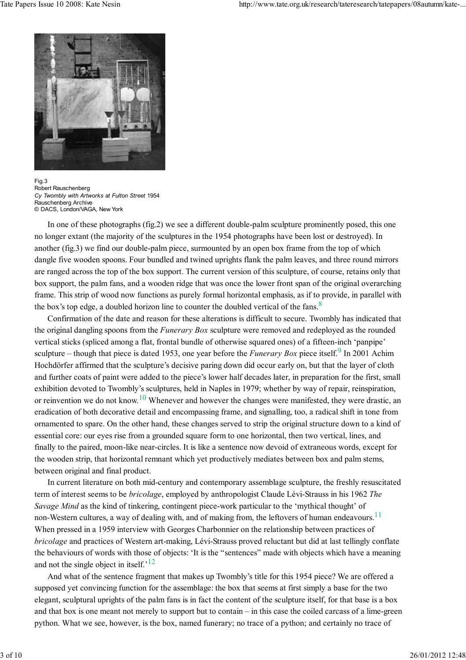

Fig.3 Robert Rauschenberg Cy Twombly with Artworks at Fulton Street 1954 Rauschenberg Archive © DACS, London/VAGA, New York

In one of these photographs (fig.2) we see a different double-palm sculpture prominently posed, this one no longer extant (the majority of the sculptures in the 1954 photographs have been lost or destroyed). In another (fig.3) we find our double-palm piece, surmounted by an open box frame from the top of which dangle five wooden spoons. Four bundled and twined uprights flank the palm leaves, and three round mirrors are ranged across the top of the box support. The current version of this sculpture, of course, retains only that box support, the palm fans, and a wooden ridge that was once the lower front span of the original overarching frame. This strip of wood now functions as purely formal horizontal emphasis, as if to provide, in parallel with the box's top edge, a doubled horizon line to counter the doubled vertical of the fans.<sup>8</sup>

Confirmation of the date and reason for these alterations is difficult to secure. Twombly has indicated that the original dangling spoons from the *Funerary Box* sculpture were removed and redeployed as the rounded vertical sticks (spliced among a flat, frontal bundle of otherwise squared ones) of a fifteen-inch 'panpipe' sculpture – though that piece is dated 1953, one year before the *Funerary Box* piece itself.<sup>9</sup> In 2001 Achim Hochdörfer affirmed that the sculpture's decisive paring down did occur early on, but that the layer of cloth and further coats of paint were added to the piece's lower half decades later, in preparation for the first, small exhibition devoted to Twombly's sculptures, held in Naples in 1979; whether by way of repair, reinspiration, or reinvention we do not know.<sup>10</sup> Whenever and however the changes were manifested, they were drastic, an eradication of both decorative detail and encompassing frame, and signalling, too, a radical shift in tone from ornamented to spare. On the other hand, these changes served to strip the original structure down to a kind of essential core: our eyes rise from a grounded square form to one horizontal, then two vertical, lines, and finally to the paired, moon-like near-circles. It is like a sentence now devoid of extraneous words, except for the wooden strip, that horizontal remnant which yet productively mediates between box and palm stems, between original and final product.

In current literature on both mid-century and contemporary assemblage sculpture, the freshly resuscitated term of interest seems to be bricolage, employed by anthropologist Claude Lévi-Strauss in his 1962 The Savage Mind as the kind of tinkering, contingent piece-work particular to the 'mythical thought' of non-Western cultures, a way of dealing with, and of making from, the leftovers of human endeavours.<sup>11</sup> When pressed in a 1959 interview with Georges Charbonnier on the relationship between practices of bricolage and practices of Western art-making, Lévi-Strauss proved reluctant but did at last tellingly conflate the behaviours of words with those of objects: 'It is the "sentences" made with objects which have a meaning and not the single object in itself.<sup>'12</sup>

And what of the sentence fragment that makes up Twombly's title for this 1954 piece? We are offered a supposed yet convincing function for the assemblage: the box that seems at first simply a base for the two elegant, sculptural uprights of the palm fans is in fact the content of the sculpture itself, for that base is a box and that box is one meant not merely to support but to contain – in this case the coiled carcass of a lime-green python. What we see, however, is the box, named funerary; no trace of a python; and certainly no trace of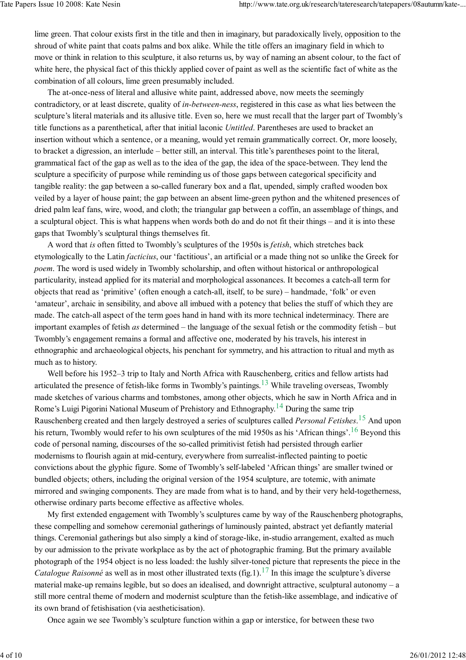lime green. That colour exists first in the title and then in imaginary, but paradoxically lively, opposition to the shroud of white paint that coats palms and box alike. While the title offers an imaginary field in which to move or think in relation to this sculpture, it also returns us, by way of naming an absent colour, to the fact of white here, the physical fact of this thickly applied cover of paint as well as the scientific fact of white as the combination of all colours, lime green presumably included.

The at-once-ness of literal and allusive white paint, addressed above, now meets the seemingly contradictory, or at least discrete, quality of *in-between-ness*, registered in this case as what lies between the sculpture's literal materials and its allusive title. Even so, here we must recall that the larger part of Twombly's title functions as a parenthetical, after that initial laconic Untitled. Parentheses are used to bracket an insertion without which a sentence, or a meaning, would yet remain grammatically correct. Or, more loosely, to bracket a digression, an interlude – better still, an interval. This title's parentheses point to the literal, grammatical fact of the gap as well as to the idea of the gap, the idea of the space-between. They lend the sculpture a specificity of purpose while reminding us of those gaps between categorical specificity and tangible reality: the gap between a so-called funerary box and a flat, upended, simply crafted wooden box veiled by a layer of house paint; the gap between an absent lime-green python and the whitened presences of dried palm leaf fans, wire, wood, and cloth; the triangular gap between a coffin, an assemblage of things, and a sculptural object. This is what happens when words both do and do not fit their things – and it is into these gaps that Twombly's sculptural things themselves fit.

A word that is often fitted to Twombly's sculptures of the 1950s is fetish, which stretches back etymologically to the Latin facticius, our 'factitious', an artificial or a made thing not so unlike the Greek for poem. The word is used widely in Twombly scholarship, and often without historical or anthropological particularity, instead applied for its material and morphological assonances. It becomes a catch-all term for objects that read as 'primitive' (often enough a catch-all, itself, to be sure) – handmade, 'folk' or even 'amateur', archaic in sensibility, and above all imbued with a potency that belies the stuff of which they are made. The catch-all aspect of the term goes hand in hand with its more technical indeterminacy. There are important examples of fetish as determined – the language of the sexual fetish or the commodity fetish – but Twombly's engagement remains a formal and affective one, moderated by his travels, his interest in ethnographic and archaeological objects, his penchant for symmetry, and his attraction to ritual and myth as much as to history.

Well before his 1952–3 trip to Italy and North Africa with Rauschenberg, critics and fellow artists had articulated the presence of fetish-like forms in Twombly's paintings.<sup>13</sup> While traveling overseas, Twombly made sketches of various charms and tombstones, among other objects, which he saw in North Africa and in Rome's Luigi Pigorini National Museum of Prehistory and Ethnography.<sup>14</sup> During the same trip Rauschenberg created and then largely destroyed a series of sculptures called *Personal Fetishes*.<sup>15</sup> And upon his return, Twombly would refer to his own sculptures of the mid 1950s as his 'African things'.<sup>16</sup> Beyond this code of personal naming, discourses of the so-called primitivist fetish had persisted through earlier modernisms to flourish again at mid-century, everywhere from surrealist-inflected painting to poetic convictions about the glyphic figure. Some of Twombly's self-labeled 'African things' are smaller twined or bundled objects; others, including the original version of the 1954 sculpture, are totemic, with animate mirrored and swinging components. They are made from what is to hand, and by their very held-togetherness, otherwise ordinary parts become effective as affective wholes.

My first extended engagement with Twombly's sculptures came by way of the Rauschenberg photographs, these compelling and somehow ceremonial gatherings of luminously painted, abstract yet defiantly material things. Ceremonial gatherings but also simply a kind of storage-like, in-studio arrangement, exalted as much by our admission to the private workplace as by the act of photographic framing. But the primary available photograph of the 1954 object is no less loaded: the lushly silver-toned picture that represents the piece in the *Catalogue Raisonné* as well as in most other illustrated texts (fig.1).<sup>17</sup> In this image the sculpture's diverse material make-up remains legible, but so does an idealised, and downright attractive, sculptural autonomy – a still more central theme of modern and modernist sculpture than the fetish-like assemblage, and indicative of its own brand of fetishisation (via aestheticisation).

Once again we see Twombly's sculpture function within a gap or interstice, for between these two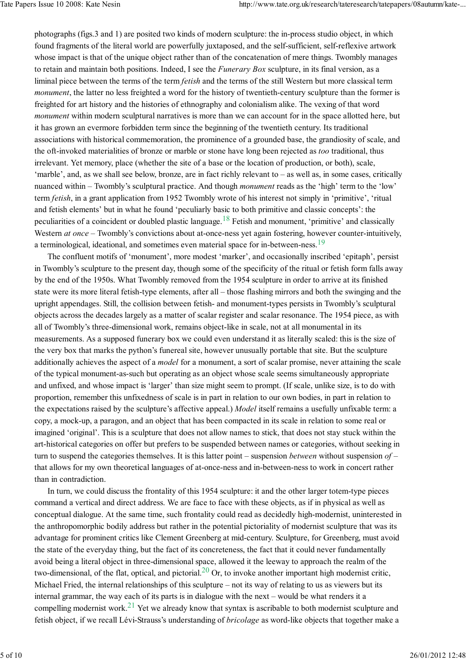photographs (figs.3 and 1) are posited two kinds of modern sculpture: the in-process studio object, in which found fragments of the literal world are powerfully juxtaposed, and the self-sufficient, self-reflexive artwork whose impact is that of the unique object rather than of the concatenation of mere things. Twombly manages to retain and maintain both positions. Indeed, I see the *Funerary Box* sculpture, in its final version, as a liminal piece between the terms of the term *fetish* and the terms of the still Western but more classical term monument, the latter no less freighted a word for the history of twentieth-century sculpture than the former is freighted for art history and the histories of ethnography and colonialism alike. The vexing of that word monument within modern sculptural narratives is more than we can account for in the space allotted here, but it has grown an evermore forbidden term since the beginning of the twentieth century. Its traditional associations with historical commemoration, the prominence of a grounded base, the grandiosity of scale, and the oft-invoked materialities of bronze or marble or stone have long been rejected as too traditional, thus irrelevant. Yet memory, place (whether the site of a base or the location of production, or both), scale, 'marble', and, as we shall see below, bronze, are in fact richly relevant to – as well as, in some cases, critically nuanced within – Twombly's sculptural practice. And though monument reads as the 'high' term to the 'low' term fetish, in a grant application from 1952 Twombly wrote of his interest not simply in 'primitive', 'ritual and fetish elements' but in what he found 'peculiarly basic to both primitive and classic concepts': the peculiarities of a coincident or doubled plastic language.<sup>18</sup> Fetish and monument, 'primitive' and classically Western at once – Twombly's convictions about at-once-ness yet again fostering, however counter-intuitively, a terminological, ideational, and sometimes even material space for in-between-ness.<sup>19</sup>

The confluent motifs of 'monument', more modest 'marker', and occasionally inscribed 'epitaph', persist in Twombly's sculpture to the present day, though some of the specificity of the ritual or fetish form falls away by the end of the 1950s. What Twombly removed from the 1954 sculpture in order to arrive at its finished state were its more literal fetish-type elements, after all – those flashing mirrors and both the swinging and the upright appendages. Still, the collision between fetish- and monument-types persists in Twombly's sculptural objects across the decades largely as a matter of scalar register and scalar resonance. The 1954 piece, as with all of Twombly's three-dimensional work, remains object-like in scale, not at all monumental in its measurements. As a supposed funerary box we could even understand it as literally scaled: this is the size of the very box that marks the python's funereal site, however unusually portable that site. But the sculpture additionally achieves the aspect of a *model* for a monument, a sort of scalar promise, never attaining the scale of the typical monument-as-such but operating as an object whose scale seems simultaneously appropriate and unfixed, and whose impact is 'larger' than size might seem to prompt. (If scale, unlike size, is to do with proportion, remember this unfixedness of scale is in part in relation to our own bodies, in part in relation to the expectations raised by the sculpture's affective appeal.) Model itself remains a usefully unfixable term: a copy, a mock-up, a paragon, and an object that has been compacted in its scale in relation to some real or imagined 'original'. This is a sculpture that does not allow names to stick, that does not stay stuck within the art-historical categories on offer but prefers to be suspended between names or categories, without seeking in turn to suspend the categories themselves. It is this latter point – suspension *between* without suspension  $of$ that allows for my own theoretical languages of at-once-ness and in-between-ness to work in concert rather than in contradiction.

In turn, we could discuss the frontality of this 1954 sculpture: it and the other larger totem-type pieces command a vertical and direct address. We are face to face with these objects, as if in physical as well as conceptual dialogue. At the same time, such frontality could read as decidedly high-modernist, uninterested in the anthropomorphic bodily address but rather in the potential pictoriality of modernist sculpture that was its advantage for prominent critics like Clement Greenberg at mid-century. Sculpture, for Greenberg, must avoid the state of the everyday thing, but the fact of its concreteness, the fact that it could never fundamentally avoid being a literal object in three-dimensional space, allowed it the leeway to approach the realm of the two-dimensional, of the flat, optical, and pictorial.  $^{20}$  Or, to invoke another important high modernist critic, Michael Fried, the internal relationships of this sculpture – not its way of relating to us as viewers but its internal grammar, the way each of its parts is in dialogue with the next – would be what renders it a compelling modernist work.<sup>21</sup> Yet we already know that syntax is ascribable to both modernist sculpture and fetish object, if we recall Lévi-Strauss's understanding of bricolage as word-like objects that together make a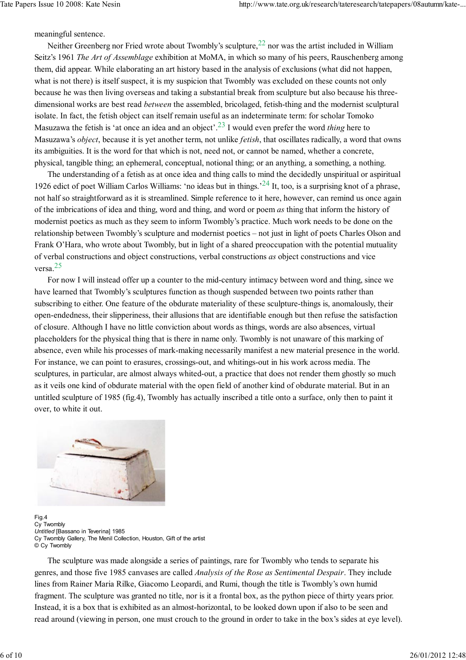meaningful sentence.

Neither Greenberg nor Fried wrote about Twombly's sculpture,  $^{22}$  nor was the artist included in William Seitz's 1961 The Art of Assemblage exhibition at MoMA, in which so many of his peers. Rauschenberg among them, did appear. While elaborating an art history based in the analysis of exclusions (what did not happen, what is not there) is itself suspect, it is my suspicion that Twombly was excluded on these counts not only because he was then living overseas and taking a substantial break from sculpture but also because his threedimensional works are best read *between* the assembled, bricolaged, fetish-thing and the modernist sculptural isolate. In fact, the fetish object can itself remain useful as an indeterminate term: for scholar Tomoko Masuzawa the fetish is 'at once an idea and an object'.<sup>23</sup> I would even prefer the word *thing* here to Masuzawa's *object*, because it is yet another term, not unlike *fetish*, that oscillates radically, a word that owns its ambiguities. It is the word for that which is not, need not, or cannot be named, whether a concrete, physical, tangible thing; an ephemeral, conceptual, notional thing; or an anything, a something, a nothing.

The understanding of a fetish as at once idea and thing calls to mind the decidedly unspiritual or aspiritual 1926 edict of poet William Carlos Williams: 'no ideas but in things.<sup>'24</sup> It, too, is a surprising knot of a phrase, not half so straightforward as it is streamlined. Simple reference to it here, however, can remind us once again of the imbrications of idea and thing, word and thing, and word or poem as thing that inform the history of modernist poetics as much as they seem to inform Twombly's practice. Much work needs to be done on the relationship between Twombly's sculpture and modernist poetics – not just in light of poets Charles Olson and Frank O'Hara, who wrote about Twombly, but in light of a shared preoccupation with the potential mutuality of verbal constructions and object constructions, verbal constructions as object constructions and vice versa. 25

For now I will instead offer up a counter to the mid-century intimacy between word and thing, since we have learned that Twombly's sculptures function as though suspended between two points rather than subscribing to either. One feature of the obdurate materiality of these sculpture-things is, anomalously, their open-endedness, their slipperiness, their allusions that are identifiable enough but then refuse the satisfaction of closure. Although I have no little conviction about words as things, words are also absences, virtual placeholders for the physical thing that is there in name only. Twombly is not unaware of this marking of absence, even while his processes of mark-making necessarily manifest a new material presence in the world. For instance, we can point to erasures, crossings-out, and whitings-out in his work across media. The sculptures, in particular, are almost always whited-out, a practice that does not render them ghostly so much as it veils one kind of obdurate material with the open field of another kind of obdurate material. But in an untitled sculpture of 1985 (fig.4), Twombly has actually inscribed a title onto a surface, only then to paint it over, to white it out.



Fig.4 Cy Twombly Untitled [Bassano in Teverina] 1985 Cy Twombly Gallery, The Menil Collection, Houston, Gift of the artist © Cy Twombly

The sculpture was made alongside a series of paintings, rare for Twombly who tends to separate his genres, and those five 1985 canvases are called Analysis of the Rose as Sentimental Despair. They include lines from Rainer Maria Rilke, Giacomo Leopardi, and Rumi, though the title is Twombly's own humid fragment. The sculpture was granted no title, nor is it a frontal box, as the python piece of thirty years prior. Instead, it is a box that is exhibited as an almost-horizontal, to be looked down upon if also to be seen and read around (viewing in person, one must crouch to the ground in order to take in the box's sides at eye level).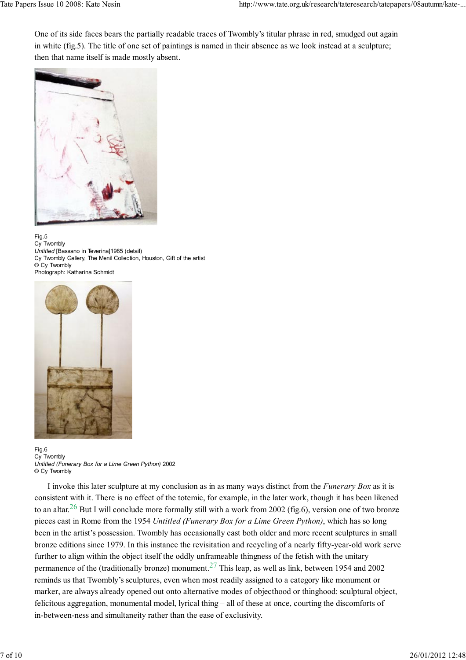One of its side faces bears the partially readable traces of Twombly's titular phrase in red, smudged out again in white (fig.5). The title of one set of paintings is named in their absence as we look instead at a sculpture; then that name itself is made mostly absent.



Fig.5 Cy Twombly Untitled [Bassano in Teverina]1985 (detail) Cy Twombly Gallery, The Menil Collection, Houston, Gift of the artist © Cy Twombly Photograph: Katharina Schmidt



Fig.6 Cy Twombly Untitled (Funerary Box for a Lime Green Python) 2002 © Cy Twombly

I invoke this later sculpture at my conclusion as in as many ways distinct from the Funerary Box as it is consistent with it. There is no effect of the totemic, for example, in the later work, though it has been likened to an altar.<sup>26</sup> But I will conclude more formally still with a work from 2002 (fig.6), version one of two bronze pieces cast in Rome from the 1954 Untitled (Funerary Box for a Lime Green Python), which has so long been in the artist's possession. Twombly has occasionally cast both older and more recent sculptures in small bronze editions since 1979. In this instance the revisitation and recycling of a nearly fifty-year-old work serve further to align within the object itself the oddly unframeable thingness of the fetish with the unitary permanence of the (traditionally bronze) monument.<sup>27</sup> This leap, as well as link, between 1954 and 2002 reminds us that Twombly's sculptures, even when most readily assigned to a category like monument or marker, are always already opened out onto alternative modes of objecthood or thinghood: sculptural object, felicitous aggregation, monumental model, lyrical thing – all of these at once, courting the discomforts of in-between-ness and simultaneity rather than the ease of exclusivity.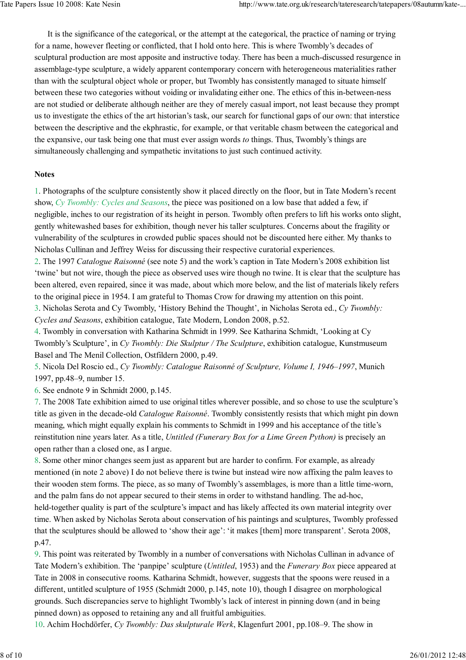It is the significance of the categorical, or the attempt at the categorical, the practice of naming or trying for a name, however fleeting or conflicted, that I hold onto here. This is where Twombly's decades of sculptural production are most apposite and instructive today. There has been a much-discussed resurgence in assemblage-type sculpture, a widely apparent contemporary concern with heterogeneous materialities rather than with the sculptural object whole or proper, but Twombly has consistently managed to situate himself between these two categories without voiding or invalidating either one. The ethics of this in-between-ness are not studied or deliberate although neither are they of merely casual import, not least because they prompt us to investigate the ethics of the art historian's task, our search for functional gaps of our own: that interstice between the descriptive and the ekphrastic, for example, or that veritable chasm between the categorical and the expansive, our task being one that must ever assign words to things. Thus, Twombly's things are simultaneously challenging and sympathetic invitations to just such continued activity.

### **Notes**

1. Photographs of the sculpture consistently show it placed directly on the floor, but in Tate Modern's recent show, Cy Twombly: Cycles and Seasons, the piece was positioned on a low base that added a few, if negligible, inches to our registration of its height in person. Twombly often prefers to lift his works onto slight, gently whitewashed bases for exhibition, though never his taller sculptures. Concerns about the fragility or vulnerability of the sculptures in crowded public spaces should not be discounted here either. My thanks to Nicholas Cullinan and Jeffrey Weiss for discussing their respective curatorial experiences.

2. The 1997 Catalogue Raisonné (see note 5) and the work's caption in Tate Modern's 2008 exhibition list 'twine' but not wire, though the piece as observed uses wire though no twine. It is clear that the sculpture has been altered, even repaired, since it was made, about which more below, and the list of materials likely refers to the original piece in 1954. I am grateful to Thomas Crow for drawing my attention on this point.

3. Nicholas Serota and Cy Twombly, 'History Behind the Thought', in Nicholas Serota ed., Cy Twombly: Cycles and Seasons, exhibition catalogue, Tate Modern, London 2008, p.52.

4. Twombly in conversation with Katharina Schmidt in 1999. See Katharina Schmidt, 'Looking at Cy Twombly's Sculpture', in Cy Twombly: Die Skulptur / The Sculpture, exhibition catalogue, Kunstmuseum Basel and The Menil Collection, Ostfildern 2000, p.49.

5. Nicola Del Roscio ed., Cy Twombly: Catalogue Raisonné of Sculpture, Volume I, 1946–1997, Munich 1997, pp.48–9, number 15.

6. See endnote 9 in Schmidt 2000, p.145.

7. The 2008 Tate exhibition aimed to use original titles wherever possible, and so chose to use the sculpture's title as given in the decade-old *Catalogue Raisonné*. Twombly consistently resists that which might pin down meaning, which might equally explain his comments to Schmidt in 1999 and his acceptance of the title's reinstitution nine years later. As a title, Untitled (Funerary Box for a Lime Green Python) is precisely an open rather than a closed one, as I argue.

8. Some other minor changes seem just as apparent but are harder to confirm. For example, as already mentioned (in note 2 above) I do not believe there is twine but instead wire now affixing the palm leaves to their wooden stem forms. The piece, as so many of Twombly's assemblages, is more than a little time-worn, and the palm fans do not appear secured to their stems in order to withstand handling. The ad-hoc,

held-together quality is part of the sculpture's impact and has likely affected its own material integrity over time. When asked by Nicholas Serota about conservation of his paintings and sculptures, Twombly professed that the sculptures should be allowed to 'show their age': 'it makes [them] more transparent'. Serota 2008, p.47.

9. This point was reiterated by Twombly in a number of conversations with Nicholas Cullinan in advance of Tate Modern's exhibition. The 'panpipe' sculpture (Untitled, 1953) and the Funerary Box piece appeared at Tate in 2008 in consecutive rooms. Katharina Schmidt, however, suggests that the spoons were reused in a different, untitled sculpture of 1955 (Schmidt 2000, p.145, note 10), though I disagree on morphological grounds. Such discrepancies serve to highlight Twombly's lack of interest in pinning down (and in being pinned down) as opposed to retaining any and all fruitful ambiguities.

10. Achim Hochdörfer, Cy Twombly: Das skulpturale Werk, Klagenfurt 2001, pp.108–9. The show in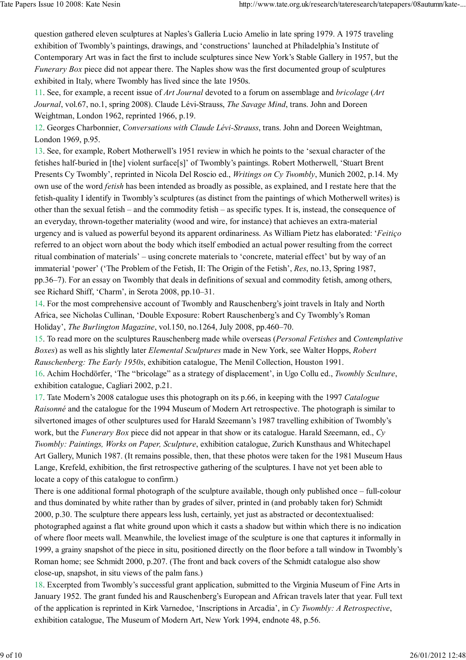question gathered eleven sculptures at Naples's Galleria Lucio Amelio in late spring 1979. A 1975 traveling exhibition of Twombly's paintings, drawings, and 'constructions' launched at Philadelphia's Institute of Contemporary Art was in fact the first to include sculptures since New York's Stable Gallery in 1957, but the Funerary Box piece did not appear there. The Naples show was the first documented group of sculptures exhibited in Italy, where Twombly has lived since the late 1950s.

11. See, for example, a recent issue of Art Journal devoted to a forum on assemblage and bricolage (Art Journal, vol.67, no.1, spring 2008). Claude Lévi-Strauss, The Savage Mind, trans. John and Doreen Weightman, London 1962, reprinted 1966, p.19.

12. Georges Charbonnier, Conversations with Claude Lévi-Strauss, trans. John and Doreen Weightman, London 1969, p.95.

13. See, for example, Robert Motherwell's 1951 review in which he points to the 'sexual character of the fetishes half-buried in [the] violent surface[s]' of Twombly's paintings. Robert Motherwell, 'Stuart Brent Presents Cy Twombly', reprinted in Nicola Del Roscio ed., Writings on Cy Twombly, Munich 2002, p.14. My own use of the word *fetish* has been intended as broadly as possible, as explained, and I restate here that the fetish-quality I identify in Twombly's sculptures (as distinct from the paintings of which Motherwell writes) is other than the sexual fetish – and the commodity fetish – as specific types. It is, instead, the consequence of an everyday, thrown-together materiality (wood and wire, for instance) that achieves an extra-material urgency and is valued as powerful beyond its apparent ordinariness. As William Pietz has elaborated: 'Feitiço referred to an object worn about the body which itself embodied an actual power resulting from the correct ritual combination of materials' – using concrete materials to 'concrete, material effect' but by way of an immaterial 'power' ('The Problem of the Fetish, II: The Origin of the Fetish', Res, no.13, Spring 1987, pp.36–7). For an essay on Twombly that deals in definitions of sexual and commodity fetish, among others, see Richard Shiff, 'Charm', in Serota 2008, pp.10–31.

14. For the most comprehensive account of Twombly and Rauschenberg's joint travels in Italy and North Africa, see Nicholas Cullinan, 'Double Exposure: Robert Rauschenberg's and Cy Twombly's Roman Holiday', The Burlington Magazine, vol.150, no.1264, July 2008, pp.460–70.

15. To read more on the sculptures Rauschenberg made while overseas (Personal Fetishes and Contemplative Boxes) as well as his slightly later Elemental Sculptures made in New York, see Walter Hopps, Robert Rauschenberg: The Early 1950s, exhibition catalogue, The Menil Collection, Houston 1991. 16. Achim Hochdörfer, 'The "bricolage" as a strategy of displacement', in Ugo Collu ed., Twombly Sculture,

exhibition catalogue, Cagliari 2002, p.21.

17. Tate Modern's 2008 catalogue uses this photograph on its p.66, in keeping with the 1997 Catalogue Raisonné and the catalogue for the 1994 Museum of Modern Art retrospective. The photograph is similar to silvertoned images of other sculptures used for Harald Szeemann's 1987 travelling exhibition of Twombly's work, but the *Funerary Box* piece did not appear in that show or its catalogue. Harald Szeemann, ed., Cy Twombly: Paintings, Works on Paper, Sculpture, exhibition catalogue, Zurich Kunsthaus and Whitechapel Art Gallery, Munich 1987. (It remains possible, then, that these photos were taken for the 1981 Museum Haus Lange, Krefeld, exhibition, the first retrospective gathering of the sculptures. I have not yet been able to locate a copy of this catalogue to confirm.)

There is one additional formal photograph of the sculpture available, though only published once – full-colour and thus dominated by white rather than by grades of silver, printed in (and probably taken for) Schmidt 2000, p.30. The sculpture there appears less lush, certainly, yet just as abstracted or decontextualised: photographed against a flat white ground upon which it casts a shadow but within which there is no indication of where floor meets wall. Meanwhile, the loveliest image of the sculpture is one that captures it informally in 1999, a grainy snapshot of the piece in situ, positioned directly on the floor before a tall window in Twombly's Roman home; see Schmidt 2000, p.207. (The front and back covers of the Schmidt catalogue also show close-up, snapshot, in situ views of the palm fans.)

18. Excerpted from Twombly's successful grant application, submitted to the Virginia Museum of Fine Arts in January 1952. The grant funded his and Rauschenberg's European and African travels later that year. Full text of the application is reprinted in Kirk Varnedoe, 'Inscriptions in Arcadia', in Cy Twombly: A Retrospective, exhibition catalogue, The Museum of Modern Art, New York 1994, endnote 48, p.56.